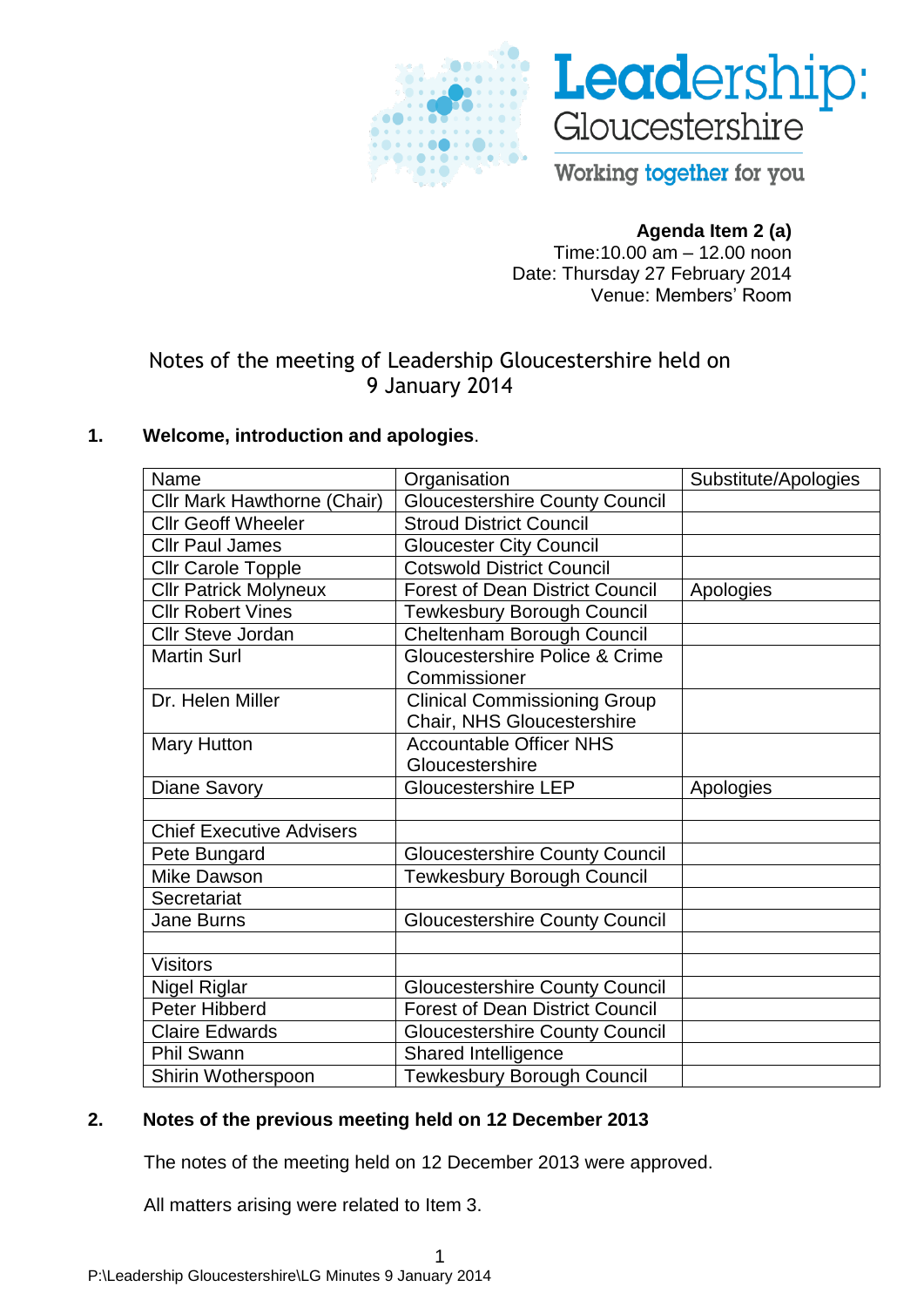



Working together for you

## **Agenda Item 2 (a)**

Time:10.00 am – 12.00 noon Date: Thursday 27 February 2014 Venue: Members' Room

# Notes of the meeting of Leadership Gloucestershire held on 9 January 2014

## **1. Welcome, introduction and apologies**.

| Name                            | Organisation                           | Substitute/Apologies |
|---------------------------------|----------------------------------------|----------------------|
| Cllr Mark Hawthorne (Chair)     | <b>Gloucestershire County Council</b>  |                      |
| <b>Cllr Geoff Wheeler</b>       | <b>Stroud District Council</b>         |                      |
| <b>Cllr Paul James</b>          | <b>Gloucester City Council</b>         |                      |
| <b>Cllr Carole Topple</b>       | <b>Cotswold District Council</b>       |                      |
| <b>Cllr Patrick Molyneux</b>    | <b>Forest of Dean District Council</b> | Apologies            |
| <b>Cllr Robert Vines</b>        | Tewkesbury Borough Council             |                      |
| <b>Cllr Steve Jordan</b>        | Cheltenham Borough Council             |                      |
| <b>Martin Surl</b>              | Gloucestershire Police & Crime         |                      |
|                                 | Commissioner                           |                      |
| Dr. Helen Miller                | <b>Clinical Commissioning Group</b>    |                      |
|                                 | Chair, NHS Gloucestershire             |                      |
| <b>Mary Hutton</b>              | <b>Accountable Officer NHS</b>         |                      |
|                                 | Gloucestershire                        |                      |
| <b>Diane Savory</b>             | <b>Gloucestershire LEP</b>             | Apologies            |
|                                 |                                        |                      |
| <b>Chief Executive Advisers</b> |                                        |                      |
| Pete Bungard                    | <b>Gloucestershire County Council</b>  |                      |
| <b>Mike Dawson</b>              | <b>Tewkesbury Borough Council</b>      |                      |
| Secretariat                     |                                        |                      |
| <b>Jane Burns</b>               | <b>Gloucestershire County Council</b>  |                      |
|                                 |                                        |                      |
|                                 |                                        |                      |
| <b>Visitors</b>                 |                                        |                      |
| Nigel Riglar                    | <b>Gloucestershire County Council</b>  |                      |
| Peter Hibberd                   | <b>Forest of Dean District Council</b> |                      |
| <b>Claire Edwards</b>           | <b>Gloucestershire County Council</b>  |                      |
| <b>Phil Swann</b>               | Shared Intelligence                    |                      |

## **2. Notes of the previous meeting held on 12 December 2013**

The notes of the meeting held on 12 December 2013 were approved.

All matters arising were related to Item 3.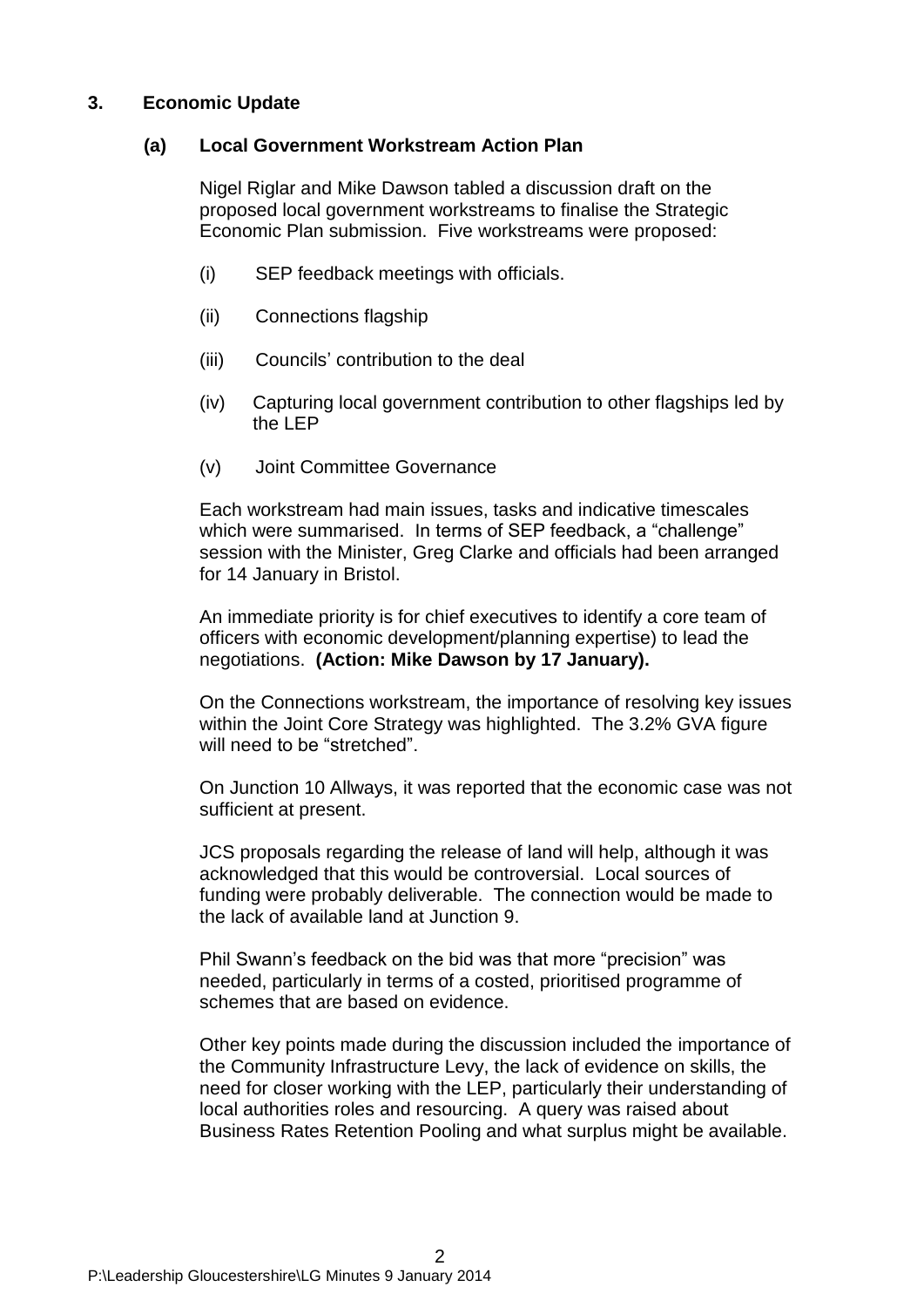#### **3. Economic Update**

#### **(a) Local Government Workstream Action Plan**

Nigel Riglar and Mike Dawson tabled a discussion draft on the proposed local government workstreams to finalise the Strategic Economic Plan submission. Five workstreams were proposed:

- (i) SEP feedback meetings with officials.
- (ii) Connections flagship
- (iii) Councils' contribution to the deal
- (iv) Capturing local government contribution to other flagships led by the LEP
- (v) Joint Committee Governance

Each workstream had main issues, tasks and indicative timescales which were summarised. In terms of SEP feedback, a "challenge" session with the Minister, Greg Clarke and officials had been arranged for 14 January in Bristol.

An immediate priority is for chief executives to identify a core team of officers with economic development/planning expertise) to lead the negotiations. **(Action: Mike Dawson by 17 January).**

On the Connections workstream, the importance of resolving key issues within the Joint Core Strategy was highlighted. The 3.2% GVA figure will need to be "stretched".

On Junction 10 Allways, it was reported that the economic case was not sufficient at present.

JCS proposals regarding the release of land will help, although it was acknowledged that this would be controversial. Local sources of funding were probably deliverable. The connection would be made to the lack of available land at Junction 9.

Phil Swann's feedback on the bid was that more "precision" was needed, particularly in terms of a costed, prioritised programme of schemes that are based on evidence.

Other key points made during the discussion included the importance of the Community Infrastructure Levy, the lack of evidence on skills, the need for closer working with the LEP, particularly their understanding of local authorities roles and resourcing. A query was raised about Business Rates Retention Pooling and what surplus might be available.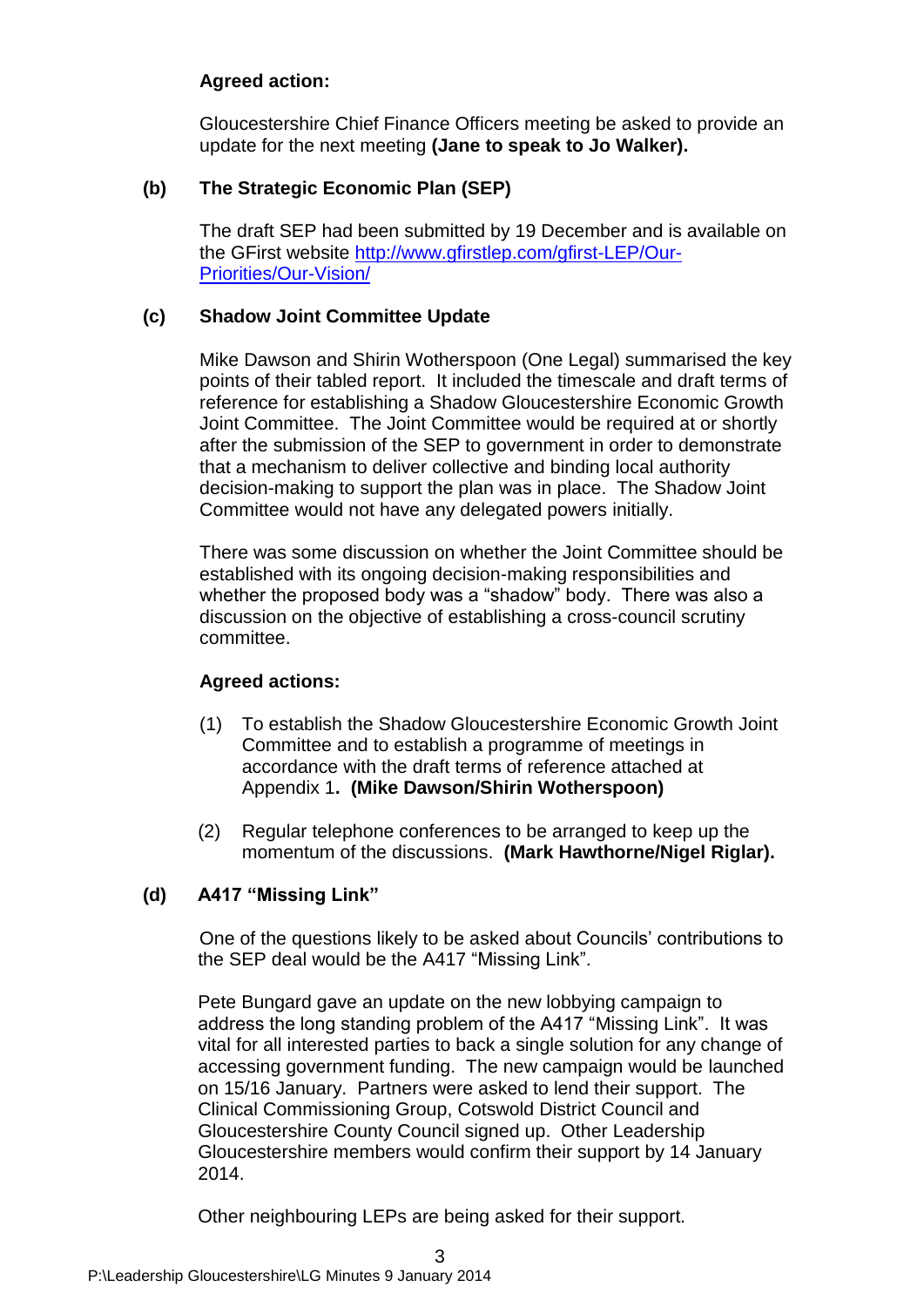## **Agreed action:**

Gloucestershire Chief Finance Officers meeting be asked to provide an update for the next meeting **(Jane to speak to Jo Walker).**

## **(b) The Strategic Economic Plan (SEP)**

The draft SEP had been submitted by 19 December and is available on the GFirst website [http://www.gfirstlep.com/gfirst-LEP/Our-](http://www.gfirstlep.com/gfirst-LEP/Our-Priorities/Our-Vision/)[Priorities/Our-Vision/](http://www.gfirstlep.com/gfirst-LEP/Our-Priorities/Our-Vision/)

## **(c) Shadow Joint Committee Update**

Mike Dawson and Shirin Wotherspoon (One Legal) summarised the key points of their tabled report. It included the timescale and draft terms of reference for establishing a Shadow Gloucestershire Economic Growth Joint Committee. The Joint Committee would be required at or shortly after the submission of the SEP to government in order to demonstrate that a mechanism to deliver collective and binding local authority decision-making to support the plan was in place. The Shadow Joint Committee would not have any delegated powers initially.

There was some discussion on whether the Joint Committee should be established with its ongoing decision-making responsibilities and whether the proposed body was a "shadow" body. There was also a discussion on the objective of establishing a cross-council scrutiny committee.

## **Agreed actions:**

- (1) To establish the Shadow Gloucestershire Economic Growth Joint Committee and to establish a programme of meetings in accordance with the draft terms of reference attached at Appendix 1**. (Mike Dawson/Shirin Wotherspoon)**
- (2) Regular telephone conferences to be arranged to keep up the momentum of the discussions. **(Mark Hawthorne/Nigel Riglar).**

## **(d) A417 "Missing Link"**

One of the questions likely to be asked about Councils' contributions to the SEP deal would be the A417 "Missing Link".

Pete Bungard gave an update on the new lobbying campaign to address the long standing problem of the A417 "Missing Link". It was vital for all interested parties to back a single solution for any change of accessing government funding. The new campaign would be launched on 15/16 January. Partners were asked to lend their support. The Clinical Commissioning Group, Cotswold District Council and Gloucestershire County Council signed up. Other Leadership Gloucestershire members would confirm their support by 14 January 2014.

Other neighbouring LEPs are being asked for their support.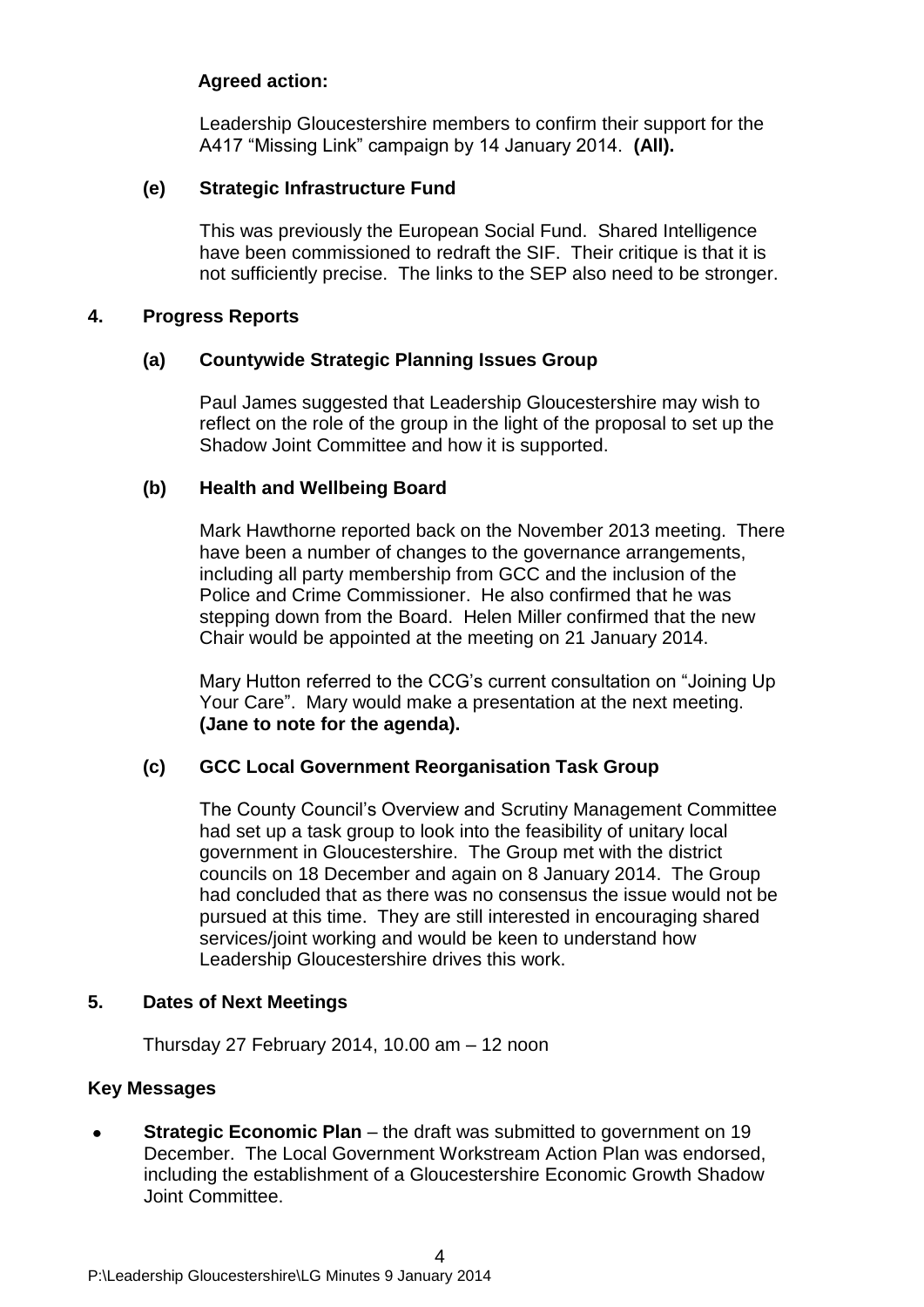#### **Agreed action:**

Leadership Gloucestershire members to confirm their support for the A417 "Missing Link" campaign by 14 January 2014. **(All).**

#### **(e) Strategic Infrastructure Fund**

This was previously the European Social Fund. Shared Intelligence have been commissioned to redraft the SIF. Their critique is that it is not sufficiently precise. The links to the SEP also need to be stronger.

#### **4. Progress Reports**

#### **(a) Countywide Strategic Planning Issues Group**

Paul James suggested that Leadership Gloucestershire may wish to reflect on the role of the group in the light of the proposal to set up the Shadow Joint Committee and how it is supported.

#### **(b) Health and Wellbeing Board**

Mark Hawthorne reported back on the November 2013 meeting. There have been a number of changes to the governance arrangements, including all party membership from GCC and the inclusion of the Police and Crime Commissioner. He also confirmed that he was stepping down from the Board. Helen Miller confirmed that the new Chair would be appointed at the meeting on 21 January 2014.

Mary Hutton referred to the CCG's current consultation on "Joining Up Your Care". Mary would make a presentation at the next meeting. **(Jane to note for the agenda).**

#### **(c) GCC Local Government Reorganisation Task Group**

The County Council's Overview and Scrutiny Management Committee had set up a task group to look into the feasibility of unitary local government in Gloucestershire. The Group met with the district councils on 18 December and again on 8 January 2014. The Group had concluded that as there was no consensus the issue would not be pursued at this time. They are still interested in encouraging shared services/joint working and would be keen to understand how Leadership Gloucestershire drives this work.

#### **5. Dates of Next Meetings**

Thursday 27 February 2014, 10.00 am – 12 noon

## **Key Messages**

**Strategic Economic Plan** – the draft was submitted to government on 19 December. The Local Government Workstream Action Plan was endorsed, including the establishment of a Gloucestershire Economic Growth Shadow Joint Committee.